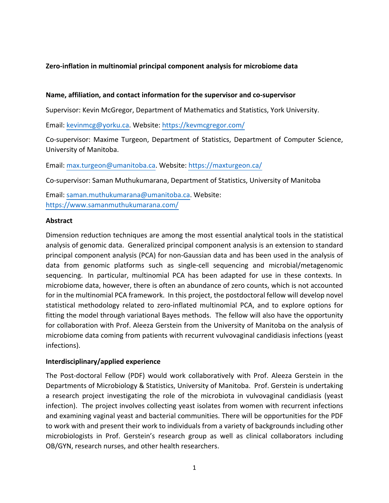## **Zero-inflation in multinomial principal component analysis for microbiome data**

#### **Name, affiliation, and contact information for the supervisor and co-supervisor**

Supervisor: Kevin McGregor, Department of Mathematics and Statistics, York University.

Email: kevinmcg@yorku.ca. Website: https://kevmcgregor.com/

Co-supervisor: Maxime Turgeon, Department of Statistics, Department of Computer Science, University of Manitoba.

Email: max.turgeon@umanitoba.ca. Website: https://maxturgeon.ca/

Co-supervisor: Saman Muthukumarana, Department of Statistics, University of Manitoba

Email: saman.muthukumarana@umanitoba.ca. Website: https://www.samanmuthukumarana.com/

#### **Abstract**

Dimension reduction techniques are among the most essential analytical tools in the statistical analysis of genomic data. Generalized principal component analysis is an extension to standard principal component analysis (PCA) for non-Gaussian data and has been used in the analysis of data from genomic platforms such as single-cell sequencing and microbial/metagenomic sequencing. In particular, multinomial PCA has been adapted for use in these contexts. In microbiome data, however, there is often an abundance of zero counts, which is not accounted for in the multinomial PCA framework. In this project, the postdoctoral fellow will develop novel statistical methodology related to zero-inflated multinomial PCA, and to explore options for fitting the model through variational Bayes methods. The fellow will also have the opportunity for collaboration with Prof. Aleeza Gerstein from the University of Manitoba on the analysis of microbiome data coming from patients with recurrent vulvovaginal candidiasis infections (yeast infections).

### **Interdisciplinary/applied experience**

The Post-doctoral Fellow (PDF) would work collaboratively with Prof. Aleeza Gerstein in the Departments of Microbiology & Statistics, University of Manitoba. Prof. Gerstein is undertaking a research project investigating the role of the microbiota in vulvovaginal candidiasis (yeast infection). The project involves collecting yeast isolates from women with recurrent infections and examining vaginal yeast and bacterial communities. There will be opportunities for the PDF to work with and present their work to individuals from a variety of backgrounds including other microbiologists in Prof. Gerstein's research group as well as clinical collaborators including OB/GYN, research nurses, and other health researchers.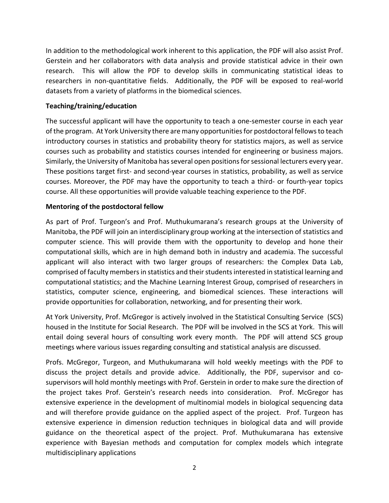In addition to the methodological work inherent to this application, the PDF will also assist Prof. Gerstein and her collaborators with data analysis and provide statistical advice in their own research. This will allow the PDF to develop skills in communicating statistical ideas to researchers in non-quantitative fields. Additionally, the PDF will be exposed to real-world datasets from a variety of platforms in the biomedical sciences.

### **Teaching/training/education**

The successful applicant will have the opportunity to teach a one-semester course in each year of the program. At York University there are many opportunities for postdoctoral fellows to teach introductory courses in statistics and probability theory for statistics majors, as well as service courses such as probability and statistics courses intended for engineering or business majors. Similarly, the University of Manitoba has several open positions for sessional lecturers every year. These positions target first- and second-year courses in statistics, probability, as well as service courses. Moreover, the PDF may have the opportunity to teach a third- or fourth-year topics course. All these opportunities will provide valuable teaching experience to the PDF.

### **Mentoring of the postdoctoral fellow**

As part of Prof. Turgeon's and Prof. Muthukumarana's research groups at the University of Manitoba, the PDF will join an interdisciplinary group working at the intersection of statistics and computer science. This will provide them with the opportunity to develop and hone their computational skills, which are in high demand both in industry and academia. The successful applicant will also interact with two larger groups of researchers: the Complex Data Lab, comprised of faculty members in statistics and their students interested in statistical learning and computational statistics; and the Machine Learning Interest Group, comprised of researchers in statistics, computer science, engineering, and biomedical sciences. These interactions will provide opportunities for collaboration, networking, and for presenting their work.

At York University, Prof. McGregor is actively involved in the Statistical Consulting Service (SCS) housed in the Institute for Social Research. The PDF will be involved in the SCS at York. This will entail doing several hours of consulting work every month. The PDF will attend SCS group meetings where various issues regarding consulting and statistical analysis are discussed.

Profs. McGregor, Turgeon, and Muthukumarana will hold weekly meetings with the PDF to discuss the project details and provide advice. Additionally, the PDF, supervisor and cosupervisors will hold monthly meetings with Prof. Gerstein in order to make sure the direction of the project takes Prof. Gerstein's research needs into consideration. Prof. McGregor has extensive experience in the development of multinomial models in biological sequencing data and will therefore provide guidance on the applied aspect of the project. Prof. Turgeon has extensive experience in dimension reduction techniques in biological data and will provide guidance on the theoretical aspect of the project. Prof. Muthukumarana has extensive experience with Bayesian methods and computation for complex models which integrate multidisciplinary applications